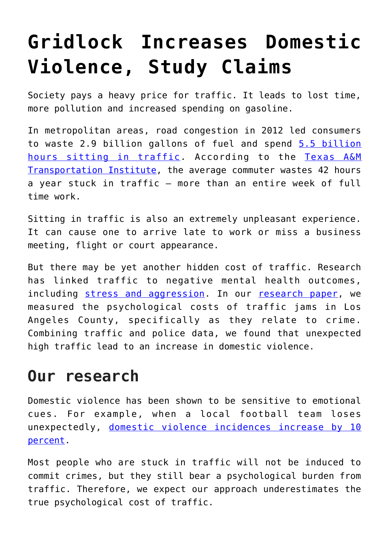## **[Gridlock Increases Domestic](https://intellectualtakeout.org/2017/02/gridlock-increases-domestic-violence-study-claims/) [Violence, Study Claims](https://intellectualtakeout.org/2017/02/gridlock-increases-domestic-violence-study-claims/)**

Society pays a heavy price for traffic. It leads to lost time, more pollution and increased spending on gasoline.

In metropolitan areas, road congestion in 2012 led consumers to waste 2.9 billion gallons of fuel and spend [5.5 billion](https://d2dtl5nnlpfr0r.cloudfront.net/tti.tamu.edu/documents/ums/archive/mobility-report-2012.pdf) [hours sitting in traffic](https://d2dtl5nnlpfr0r.cloudfront.net/tti.tamu.edu/documents/ums/archive/mobility-report-2012.pdf). According to the [Texas A&M](https://mobility.tamu.edu/ums/) [Transportation Institute,](https://mobility.tamu.edu/ums/) the average commuter wastes 42 hours a year stuck in traffic – more than an entire week of full time work.

Sitting in traffic is also an extremely unpleasant experience. It can cause one to arrive late to work or miss a business meeting, flight or court appearance.

But there may be yet another hidden cost of traffic. Research has linked traffic to negative mental health outcomes, including [stress and aggression.](http://onlinelibrary.wiley.com/doi/10.1002/hec.1389/full) In our [research paper](http://faculty.bus.lsu.edu/papers/pap17_02.pdf), we measured the psychological costs of traffic jams in Los Angeles County, specifically as they relate to crime. Combining traffic and police data, we found that unexpected high traffic lead to an increase in domestic violence.

## **Our research**

Domestic violence has been shown to be sensitive to emotional cues. For example, when a local football team loses unexpectedly, [domestic violence incidences increase by 10](https://academic.oup.com/qje/article/126/1/103/1903433/Family-Violence-and-Football-The-Effect-of) [percent](https://academic.oup.com/qje/article/126/1/103/1903433/Family-Violence-and-Football-The-Effect-of).

Most people who are stuck in traffic will not be induced to commit crimes, but they still bear a psychological burden from traffic. Therefore, we expect our approach underestimates the true psychological cost of traffic.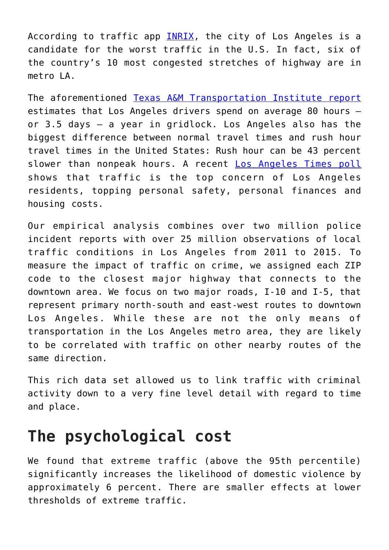According to traffic app [INRIX,](http://inrix.com/press-releases/scorecard-us/) the city of Los Angeles is a candidate for the worst traffic in the U.S. In fact, six of the country's 10 most congested stretches of highway are in metro LA.

The aforementioned [Texas A&M Transportation Institute report](https://mobility.tamu.edu/ums/) estimates that Los Angeles drivers spend on average 80 hours – or 3.5 days – a year in gridlock. Los Angeles also has the biggest difference between normal travel times and rush hour travel times in the United States: Rush hour can be 43 percent slower than nonpeak hours. A recent [Los Angeles Times poll](http://www.latimes.com/local/lanow/la-me-ln-traffic-still-tops-crime-economy-as-top-l-a-concern-poll-finds-20151007-story.html) shows that traffic is the top concern of Los Angeles residents, topping personal safety, personal finances and housing costs.

Our empirical analysis combines over two million police incident reports with over 25 million observations of local traffic conditions in Los Angeles from 2011 to 2015. To measure the impact of traffic on crime, we assigned each ZIP code to the closest major highway that connects to the downtown area. We focus on two major roads, I-10 and I-5, that represent primary north-south and east-west routes to downtown Los Angeles. While these are not the only means of transportation in the Los Angeles metro area, they are likely to be correlated with traffic on other nearby routes of the same direction.

This rich data set allowed us to link traffic with criminal activity down to a very fine level detail with regard to time and place.

## **The psychological cost**

We found that extreme traffic (above the 95th percentile) significantly increases the likelihood of domestic violence by approximately 6 percent. There are smaller effects at lower thresholds of extreme traffic.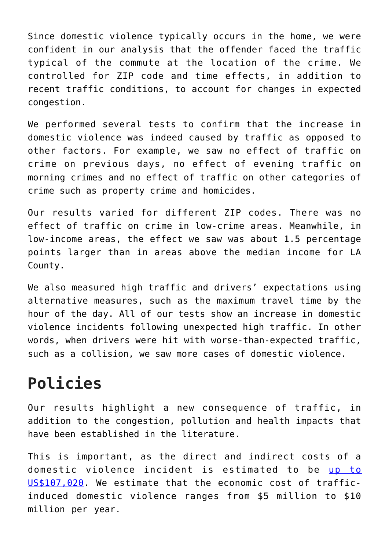Since domestic violence typically occurs in the home, we were confident in our analysis that the offender faced the traffic typical of the commute at the location of the crime. We controlled for ZIP code and time effects, in addition to recent traffic conditions, to account for changes in expected congestion.

We performed several tests to confirm that the increase in domestic violence was indeed caused by traffic as opposed to other factors. For example, we saw no effect of traffic on crime on previous days, no effect of evening traffic on morning crimes and no effect of traffic on other categories of crime such as property crime and homicides.

Our results varied for different ZIP codes. There was no effect of traffic on crime in low-crime areas. Meanwhile, in low-income areas, the effect we saw was about 1.5 percentage points larger than in areas above the median income for LA County.

We also measured high traffic and drivers' expectations using alternative measures, such as the maximum travel time by the hour of the day. All of our tests show an increase in domestic violence incidents following unexpected high traffic. In other words, when drivers were hit with worse-than-expected traffic, such as a collision, we saw more cases of domestic violence.

## **Policies**

Our results highlight a new consequence of traffic, in addition to the congestion, pollution and health impacts that have been established in the literature.

This is important, as the direct and indirect costs of a domestic violence incident is estimated to be [up to](https://www.ncbi.nlm.nih.gov/pmc/articles/PMC2835847/) [US\\$107,020.](https://www.ncbi.nlm.nih.gov/pmc/articles/PMC2835847/) We estimate that the economic cost of trafficinduced domestic violence ranges from \$5 million to \$10 million per year.